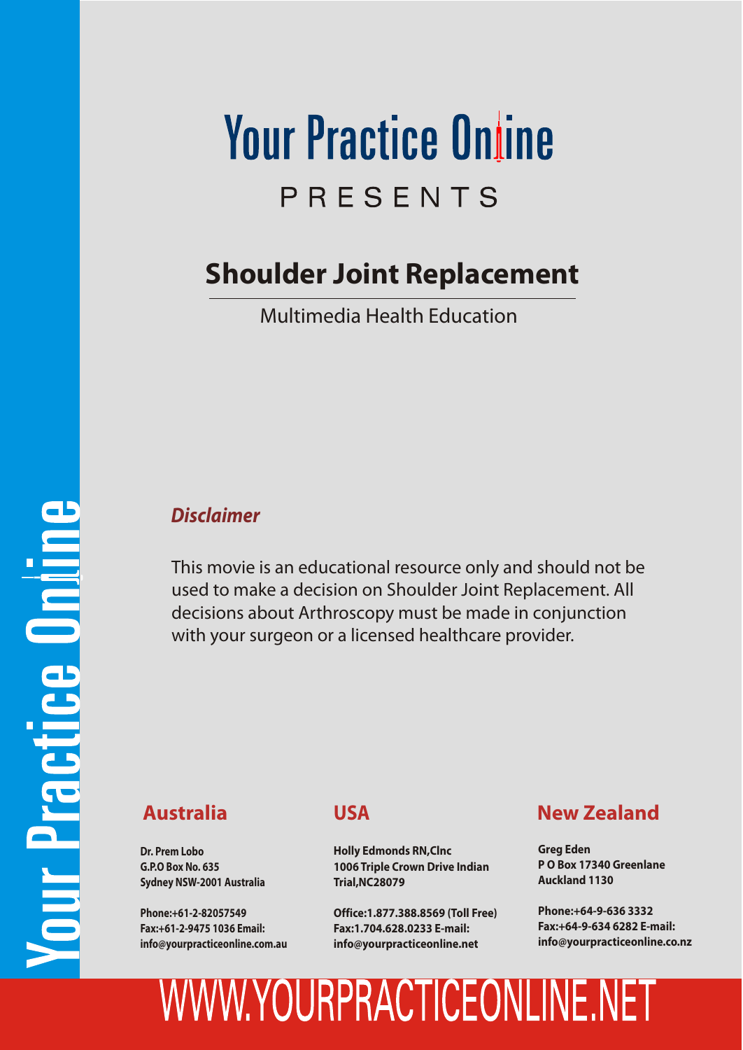# **Your Practice Online** PRESENTS

### **Shoulder Joint Replacement**

Multimedia Health Education

#### *Disclaimer*

This movie is an educational resource only and should not be used to make a decision on Shoulder Joint Replacement. All decisions about Arthroscopy must be made in conjunction with your surgeon or a licensed healthcare provider.

**Dr. Prem Lobo G.P.O Box No. 635 Sydney NSW-2001 Australia**

**Phone:+61-2-82057549 Fax:+61-2-9475 1036 Email: info@yourpracticeonline.com.au**

### **USA**

**Holly Edmonds RN,Clnc 1006 Triple Crown Drive Indian Trial,NC28079**

**Office:1.877.388.8569 (Toll Free) Fax:1.704.628.0233 E-mail: info@yourpracticeonline.net**

### **Australia New Zealand**

**Greg Eden P O Box 17340 Greenlane Auckland 1130**

**Phone:+64-9-636 3332 Fax:+64-9-634 6282 E-mail: info@yourpracticeonline.co.nz**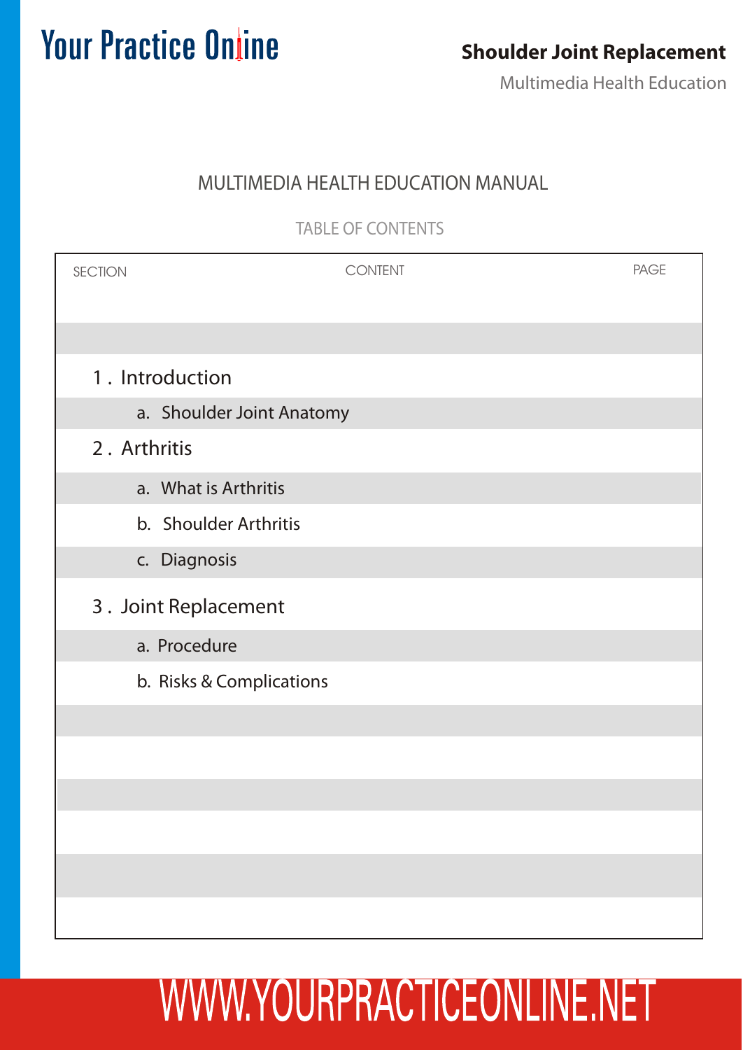### **Shoulder Joint Replacement**

Multimedia Health Education

### MULTIMEDIA HEALTH EDUCATION MANUAL

TABLE OF CONTENTS

| <b>SECTION</b>           | <b>CONTENT</b>            | <b>PAGE</b> |
|--------------------------|---------------------------|-------------|
|                          |                           |             |
| 1. Introduction          |                           |             |
|                          | a. Shoulder Joint Anatomy |             |
| 2. Arthritis             |                           |             |
| a. What is Arthritis     |                           |             |
| b. Shoulder Arthritis    |                           |             |
| c. Diagnosis             |                           |             |
| 3. Joint Replacement     |                           |             |
| a. Procedure             |                           |             |
| b. Risks & Complications |                           |             |
|                          |                           |             |
|                          |                           |             |
|                          |                           |             |
|                          |                           |             |
|                          |                           |             |
|                          |                           |             |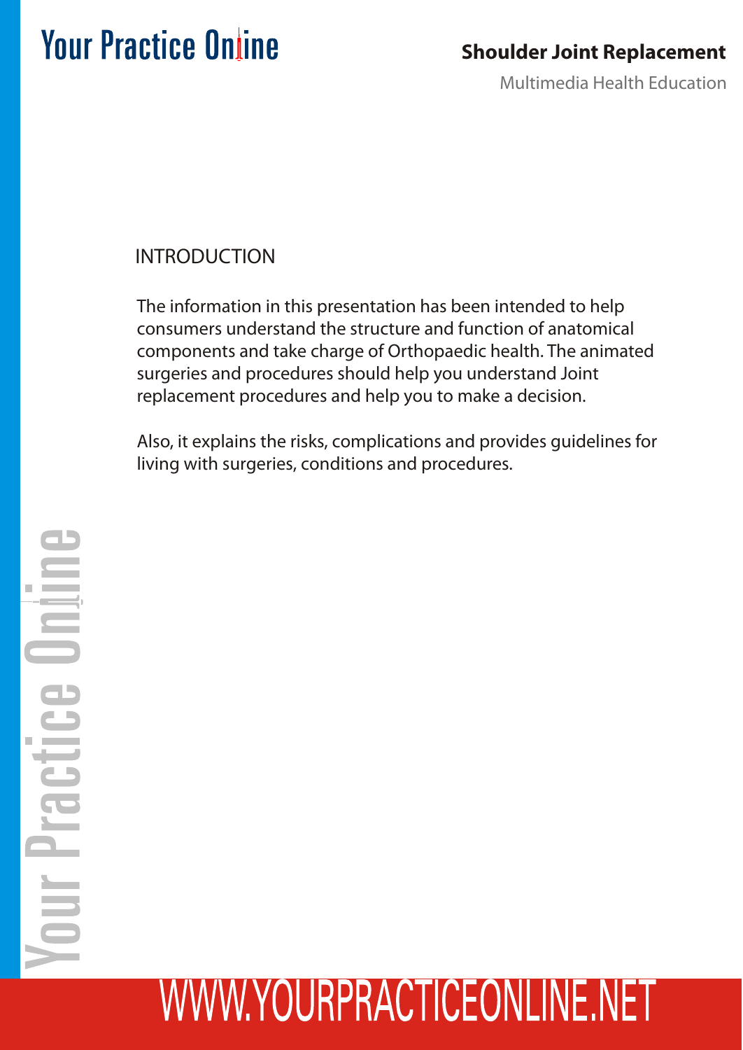### **Shoulder Joint Replacement**

Multimedia Health Education

### INTRODUCTION

The information in this presentation has been intended to help consumers understand the structure and function of anatomical components and take charge of Orthopaedic health. The animated surgeries and procedures should help you understand Joint replacement procedures and help you to make a decision.

Also, it explains the risks, complications and provides guidelines for living with surgeries, conditions and procedures.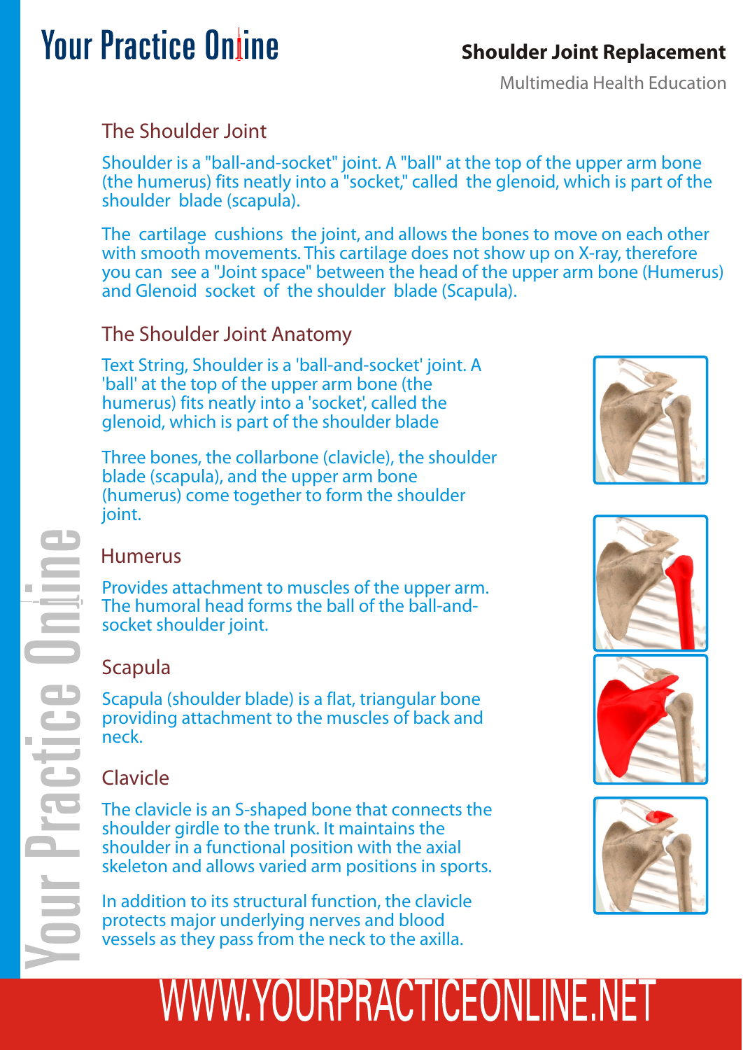### **Shoulder Joint Replacement**

Multimedia Health Education

### The Shoulder Joint

Shoulder is a "ball-and-socket" joint. A "ball" at the top of the upper arm bone (the humerus) fits neatly into a "socket," called the glenoid, which is part of the shoulder blade (scapula).

The cartilage cushions the joint, and allows the bones to move on each other with smooth movements. This cartilage does not show up on X-ray, therefore you can see a "Joint space" between the head of the upper arm bone (Humerus) and Glenoid socket of the shoulder blade (Scapula).

### The Shoulder Joint Anatomy

Text String, Shoulder is a 'ball-and-socket' joint. A 'ball' at the top of the upper arm bone (the humerus) fits neatly into a 'socket', called the glenoid, which is part of the shoulder blade

Three bones, the collarbone (clavicle), the shoulder blade (scapula), and the upper arm bone (humerus) come together to form the shoulder joint.







### Humerus

Provides attachment to muscles of the upper arm. The humoral head forms the ball of the ball-andsocket shoulder joint.

### Scapula

Scapula (shoulder blade) is a flat, triangular bone providing attachment to the muscles of back and neck.

### Clavicle

The clavicle is an S-shaped bone that connects the shoulder girdle to the trunk. It maintains the shoulder in a functional position with the axial skeleton and allows varied arm positions in sports.

In addition to its structural function, the clavicle protects major underlying nerves and blood vessels as they pass from the neck to the axilla.

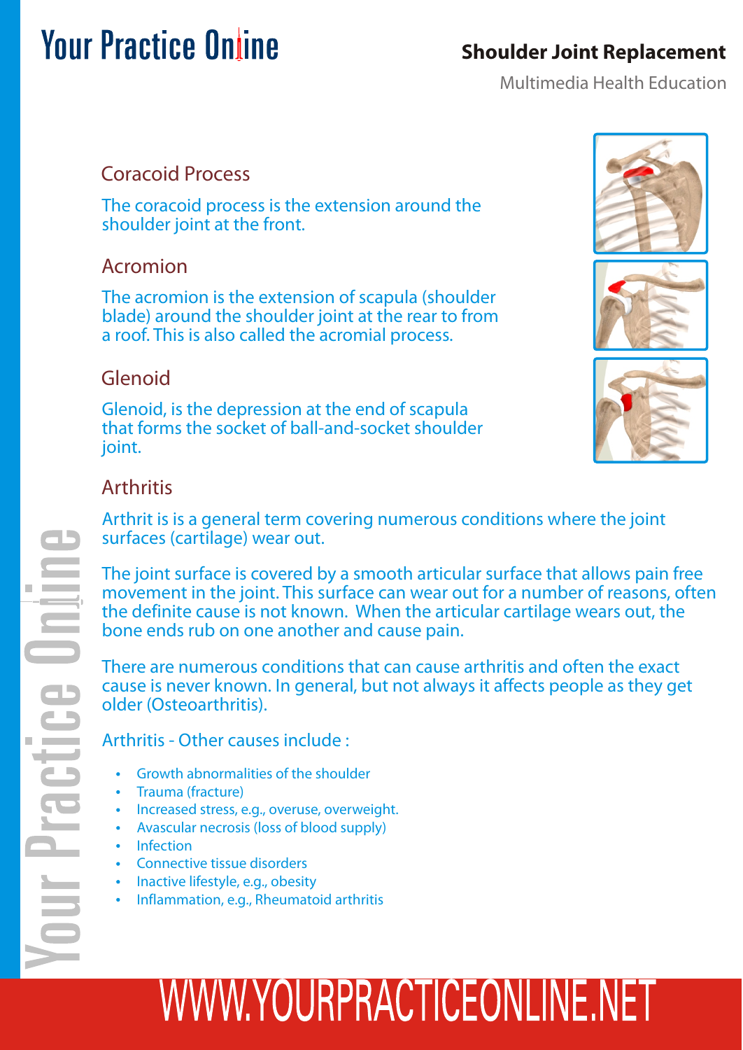### **Shoulder Joint Replacement**

Multimedia Health Education

### Coracoid Process

The coracoid process is the extension around the shoulder joint at the front.

### Acromion

The acromion is the extension of scapula (shoulder blade) around the shoulder joint at the rear to from a roof. This is also called the acromial process.

### Glenoid

Glenoid, is the depression at the end of scapula that forms the socket of ball-and-socket shoulder joint.







### **Arthritis**

Arthrit is is a general term covering numerous conditions where the joint surfaces (cartilage) wear out.

The joint surface is covered by a smooth articular surface that allows pain free movement in the joint. This surface can wear out for a number of reasons, often the definite cause is not known. When the articular cartilage wears out, the bone ends rub on one another and cause pain.

There are numerous conditions that can cause arthritis and often the exact cause is never known. In general, but not always it affects people as they get older (Osteoarthritis).

Arthritis - Other causes include :

- Growth abnormalities of the shoulder
- Trauma (fracture)
- Increased stress, e.g., overuse, overweight.
- Avascular necrosis (loss of blood supply)
- Infection
- Connective tissue disorders
- Inactive lifestyle, e.g., obesity
- Inflammation, e.g., Rheumatoid arthritis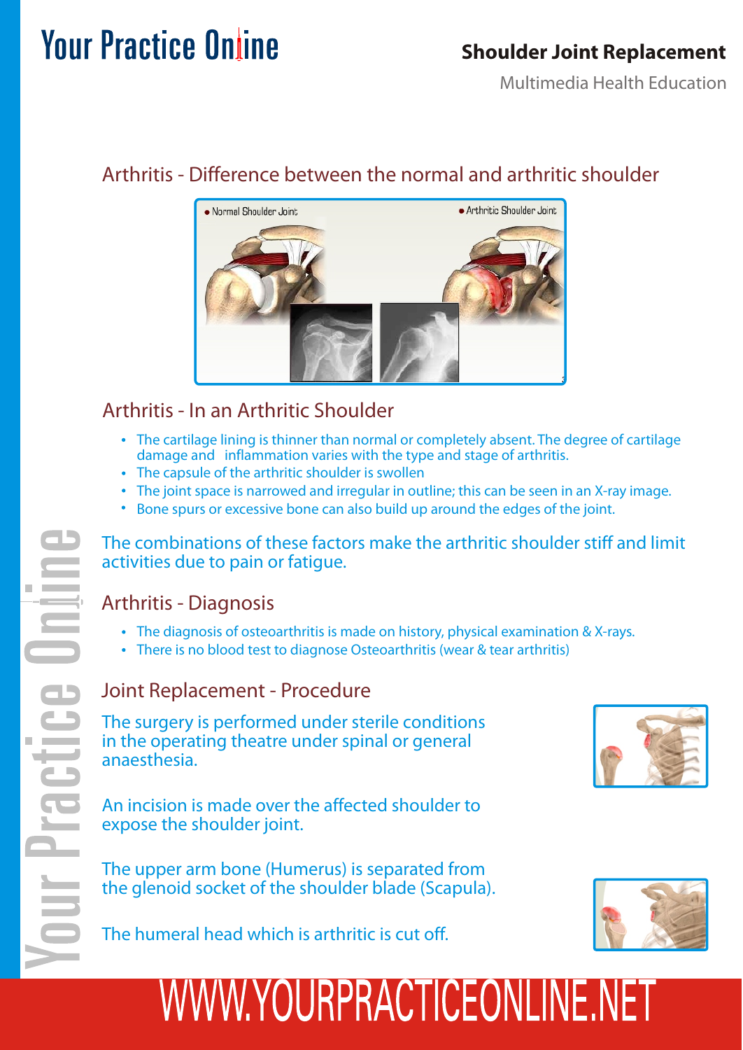### **Shoulder Joint Replacement**

Multimedia Health Education

### Arthritis - Difference between the normal and arthritic shoulder



### Arthritis - In an Arthritic Shoulder

- The cartilage lining is thinner than normal or completely absent. The degree of cartilage damage and inflammation varies with the type and stage of arthritis.
- The capsule of the arthritic shoulder is swollen
- The joint space is narrowed and irregular in outline; this can be seen in an X-ray image.
- Bone spurs or excessive bone can also build up around the edges of the joint.

The combinations of these factors make the arthritic shoulder stiff and limit activities due to pain or fatigue.

### Arthritis - Diagnosis

- The diagnosis of osteoarthritis is made on history, physical examination & X-rays.
- There is no blood test to diagnose Osteoarthritis (wear & tear arthritis)

#### Joint Replacement - Procedure

The surgery is performed under sterile conditions in the operating theatre under spinal or general anaesthesia.

An incision is made over the affected shoulder to expose the shoulder joint.

The upper arm bone (Humerus) is separated from the glenoid socket of the shoulder blade (Scapula).



The humeral head which is arthritic is cut off.

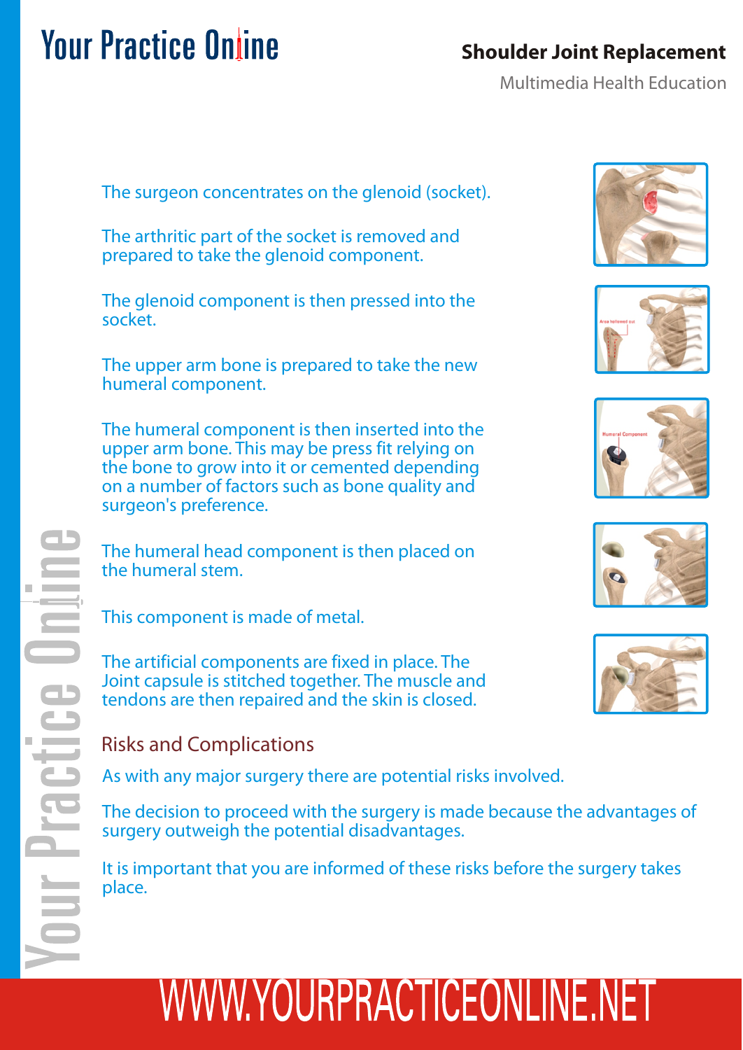### **Shoulder Joint Replacement**

Multimedia Health Education

The surgeon concentrates on the glenoid (socket).

The arthritic part of the socket is removed and prepared to take the glenoid component.

The glenoid component is then pressed into the socket.

The upper arm bone is prepared to take the new humeral component.

The humeral component is then inserted into the upper arm bone. This may be press fit relying on the bone to grow into it or cemented depending on a number of factors such as bone quality and surgeon's preference.

The humeral head component is then placed on the humeral stem.

This component is made of metal.

The artificial components are fixed in place. The Joint capsule is stitched together. The muscle and tendons are then repaired and the skin is closed.

#### Risks and Complications

As with any major surgery there are potential risks involved.

The decision to proceed with the surgery is made because the advantages of surgery outweigh the potential disadvantages.

It is important that you are informed of these risks before the surgery takes place.









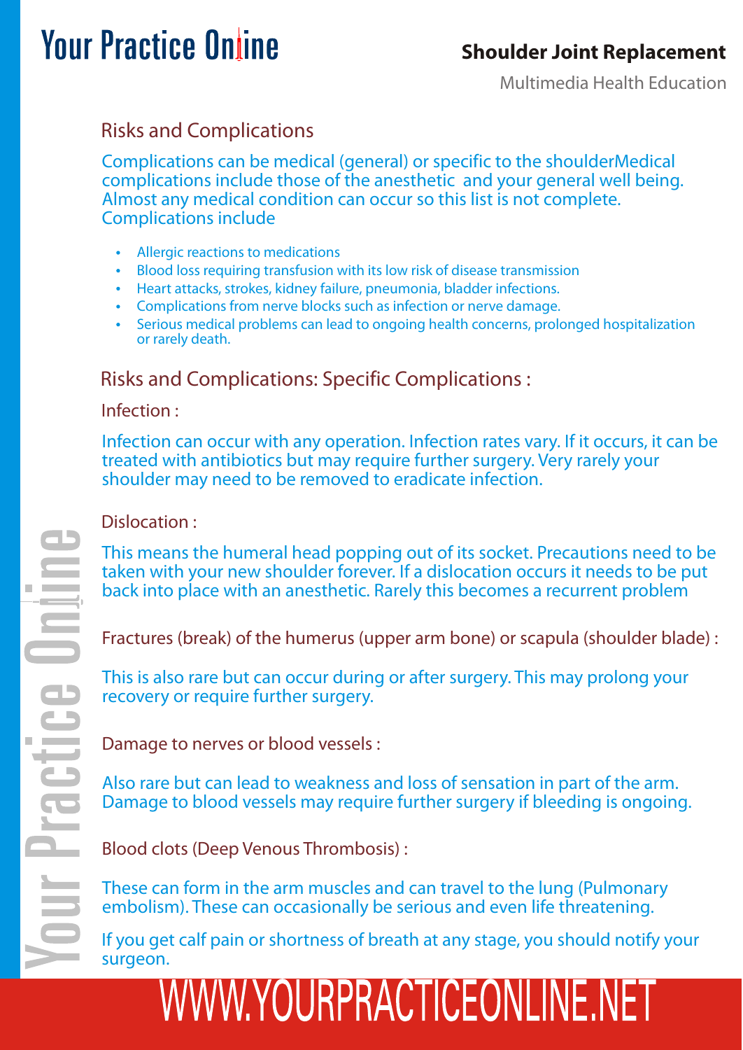### **Shoulder Joint Replacement**

Multimedia Health Education

## **Your Practice Online**

### Risks and Complications

Complications can be medical (general) or specific to the shoulderMedical complications include those of the anesthetic and your general well being. Almost any medical condition can occur so this list is not complete. Complications include

- Allergic reactions to medications
- Blood loss requiring transfusion with its low risk of disease transmission
- Heart attacks, strokes, kidney failure, pneumonia, bladder infections.
- Complications from nerve blocks such as infection or nerve damage.
- Serious medical problems can lead to ongoing health concerns, prolonged hospitalization or rarely death.

### Risks and Complications: Specific Complications :

#### Infection :

Infection can occur with any operation. Infection rates vary. If it occurs, it can be treated with antibiotics but may require further surgery. Very rarely your shoulder may need to be removed to eradicate infection.

#### Dislocation :

This means the humeral head popping out of its socket. Precautions need to be taken with your new shoulder forever. If a dislocation occurs it needs to be put back into place with an anesthetic. Rarely this becomes a recurrent problem

Fractures (break) of the humerus (upper arm bone) or scapula (shoulder blade) :

This is also rare but can occur during or after surgery. This may prolong your recovery or require further surgery.

Damage to nerves or blood vessels :

Also rare but can lead to weakness and loss of sensation in part of the arm. Damage to blood vessels may require further surgery if bleeding is ongoing.

Blood clots (Deep Venous Thrombosis) :

These can form in the arm muscles and can travel to the lung (Pulmonary embolism). These can occasionally be serious and even life threatening.

If you get calf pain or shortness of breath at any stage, you should notify your surgeon.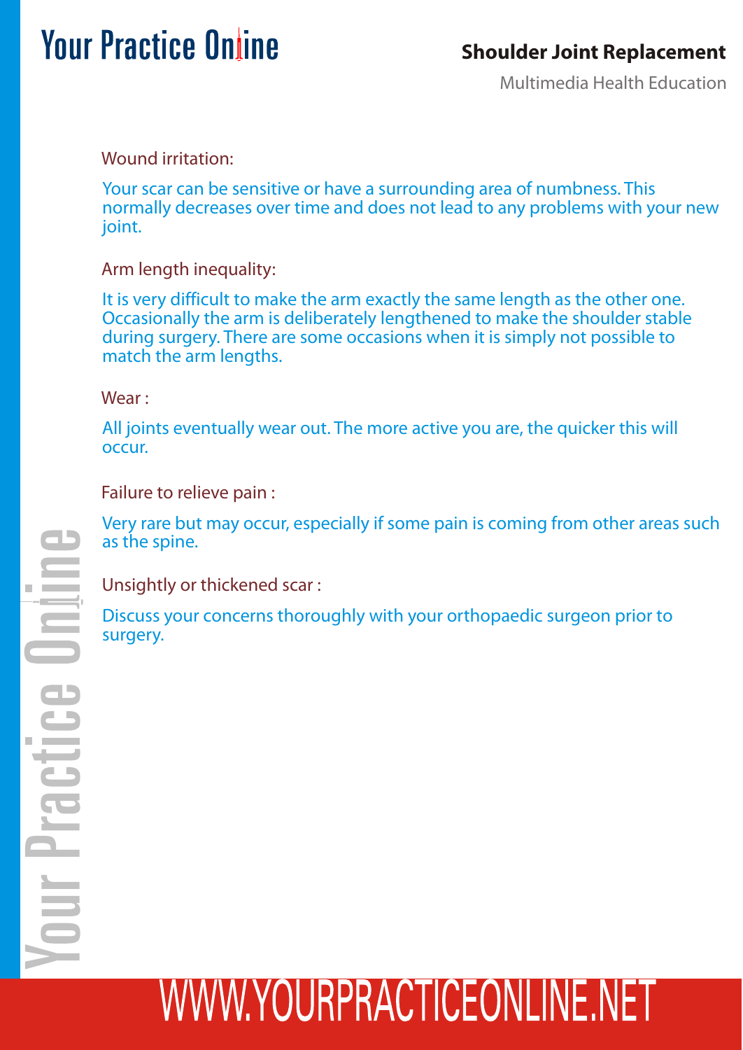### **Shoulder Joint Replacement**

Multimedia Health Education

Wound irritation:

Your scar can be sensitive or have a surrounding area of numbness. This normally decreases over time and does not lead to any problems with your new ioint.

Arm length inequality:

It is very difficult to make the arm exactly the same length as the other one. Occasionally the arm is deliberately lengthened to make the shoulder stable during surgery. There are some occasions when it is simply not possible to match the arm lengths.

Wear :

All joints eventually wear out. The more active you are, the quicker this will occur.

Failure to relieve pain :

Very rare but may occur, especially if some pain is coming from other areas such as the spine.

Unsightly or thickened scar :

Discuss your concerns thoroughly with your orthopaedic surgeon prior to surgery.